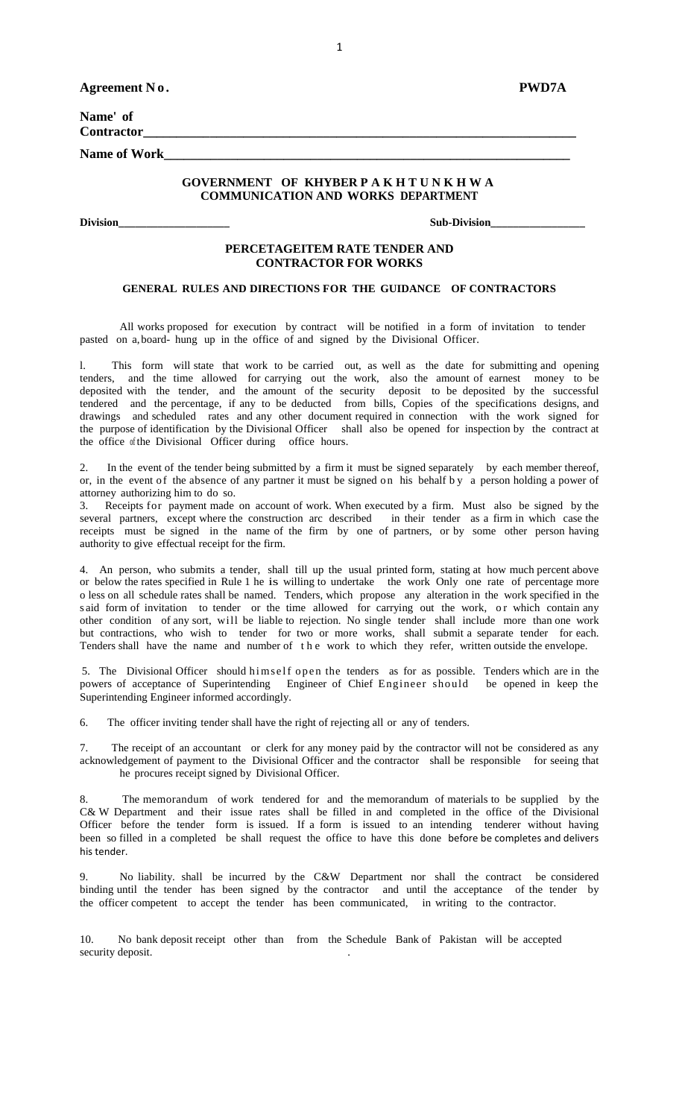| Agreement No.       |                                                                              | <b>PWD7A</b> |
|---------------------|------------------------------------------------------------------------------|--------------|
| Name' of            |                                                                              |              |
| <b>Contractor</b>   |                                                                              |              |
| <b>Name of Work</b> |                                                                              |              |
|                     | GOVERNMENT OF KHYBERPAKHTUNKHWA<br><b>COMMUNICATION AND WORKS DEPARTMENT</b> |              |
|                     |                                                                              |              |

**Division\_\_\_\_\_\_\_\_\_\_\_\_\_\_\_\_\_\_\_\_ Sub-Division\_\_\_\_\_\_\_\_\_\_\_\_\_\_\_\_\_**

### **PERCETAGEITEM RATE TENDER AND CONTRACTOR FOR WORKS**

### **GENERAL RULES AND DIRECTIONS FOR THE GUIDANCE OF CONTRACTORS**

All works proposed for execution by contract will be notified in a form of invitation to tender pasted on a,board- hung up in the office of and signed by the Divisional Officer.

l. This form will state that work to be carried out, as well as the date for submitting and opening tenders, and the time allowed for carrying out the work, also the amount of earnest money to be deposited with the tender, and the amount of the security deposit to be deposited by the successful tendered and the percentage, if any to be deducted from bills, Copies of the specifications designs, and drawings and scheduled rates and any other document required in connection with the work signed for the purpose of identification by the Divisional Officer shall also be opened for inspection by the contract at the office of the Divisional Officer during office hours.

2. In the event of the tender being submitted by a firm it must be signed separately by each member thereof, or, in the event of the absence of any partner it must be signed on his behalf by a person holding a power of attorney authorizing him to do so.

3. Receipts for payment made on account of work. When executed by a firm. Must also be signed by the several partners, except where the construction arc described in their tender as a firm in which case the receipts must be signed in the name of the firm by one of partners, or by some other person having authority to give effectual receipt for the firm.

4. An person, who submits a tender, shall till up the usual printed form, stating at how much percent above or below the rates specified in Rule 1 he is willing to undertake the work Only one rate of percentage more o less on all schedule rates shall be named. Tenders, which propose any alteration in the work specified in the s aid form of invitation to tender or the time allowed for carrying out the work, or which contain any other condition of any sort, will be liable to rejection. No single tender shall include more than one work but contractions, who wish to tender for two or more works, shall submit a separate tender for each. Tenders shall have the name and number of the work to which they refer, written outside the envelope.

5. The Divisional Officer should himself open the tenders as for as possible. Tenders which are in the powers of acceptance of Superintending Engineer of Chief Engineer should be opened in keep the Superintending Engineer informed accordingly.

6. The officer inviting tender shall have the right of rejecting all or any of tenders.

7. The receipt of an accountant or clerk for any money paid by the contractor will not be considered as any acknowledgement of payment to the Divisional Officer and the contractor shall be responsible for seeing that he procures receipt signed by Divisional Officer.

8. The memorandum of work tendered for and the memorandum of materials to be supplied by the C& W Department and their issue rates shall be filled in and completed in the office of the Divisional Officer before the tender form is issued. If a form is issued to an intending tenderer without having been so filled in a completed be shall request the office to have this done before be completes and delivers his tender.

9. No liability. shall be incurred by the C&W Department nor shall the contract be considered binding until the tender has been signed by the contractor and until the acceptance of the tender by the officer competent to accept the tender has been communicated, in writing to the contractor.

10. No bank deposit receipt other than from the Schedule Bank of Pakistan will be accepted security deposit.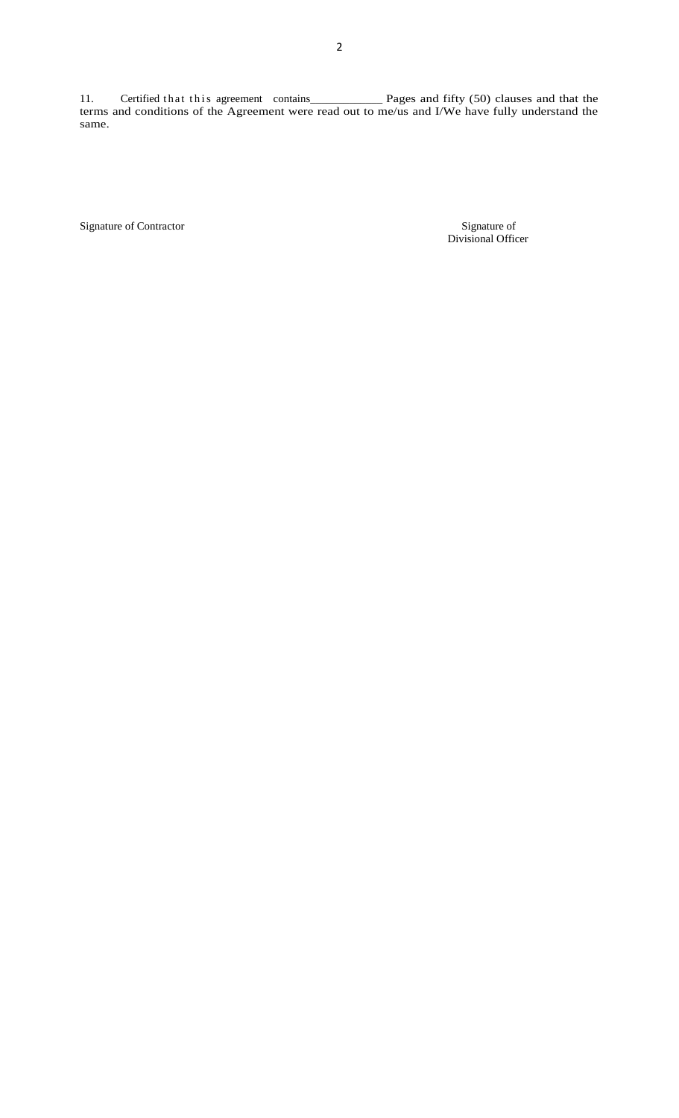11. Certified t h a t t h i s agreement contains\_\_\_\_\_\_\_\_\_\_\_\_\_ Pages and fifty (50) clauses and that the terms and conditions of the Agreement were read out to me/us and I/We have fully understand the same.

Signature of Contractor

Signature of<br>Divisional Officer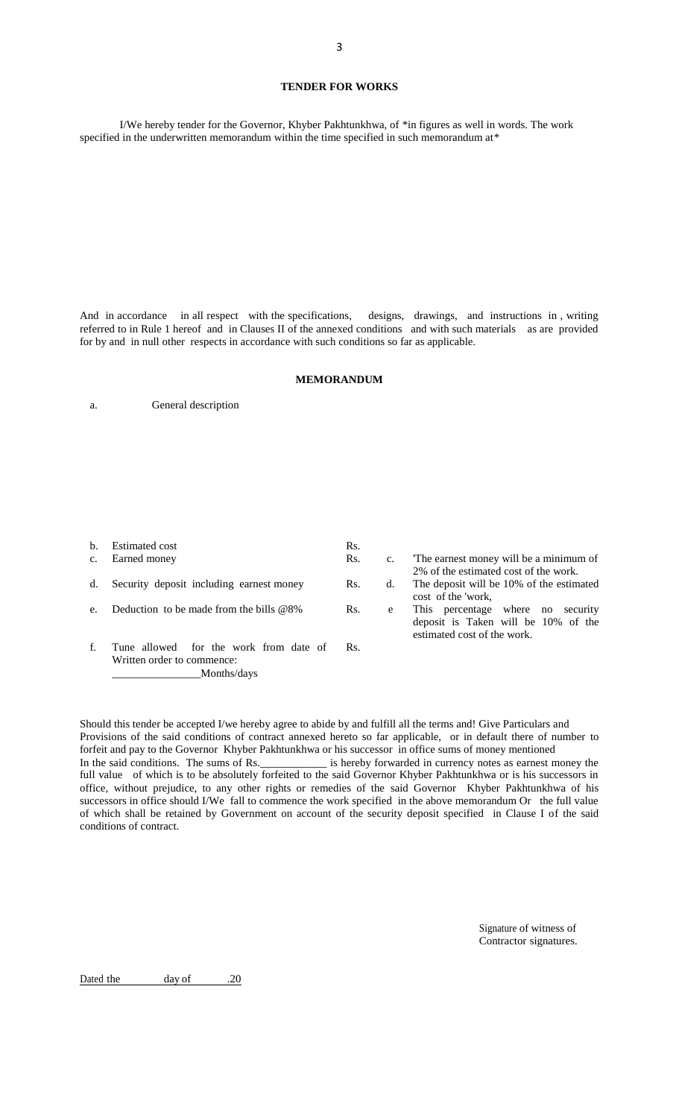#### **TENDER FOR WORKS**

I/We hereby tender for the Governor, Khyber Pakhtunkhwa, of \*in figures as well in words. The work specified in the underwritten memorandum within the time specified in such memorandum at\*

And in accordance in all respect with the specifications, designs, drawings, and instructions in , writing referred to in Rule 1 hereof and in Clauses II of the annexed conditions and with such materials as are provided for by and in null other respects in accordance with such conditions so far as applicable.

#### **MEMORANDUM**

a. General description

\_\_\_\_\_\_\_\_\_\_\_\_\_\_\_\_Months/days

| $\mathbf{b}$ . | Estimated cost                                                       | Rs. |                |                                                                                                            |
|----------------|----------------------------------------------------------------------|-----|----------------|------------------------------------------------------------------------------------------------------------|
| $c_{\cdot}$    | Earned money                                                         | Rs. | $\mathbf{c}$ . | The earnest money will be a minimum of                                                                     |
| d.             | Security deposit including earnest money                             | Rs. | d.             | 2% of the estimated cost of the work.<br>The deposit will be 10% of the estimated                          |
|                |                                                                      |     |                | cost of the 'work,                                                                                         |
| e <sub>1</sub> | Deduction to be made from the bills $@8\%$                           | Rs. | e              | This percentage where no<br>security<br>deposit is Taken will be 10% of the<br>estimated cost of the work. |
| f.             | Tune allowed for the work from date of<br>Written order to commence: | Rs. |                |                                                                                                            |

Should this tender be accepted I/we hereby agree to abide by and fulfill all the terms and! Give Particulars and Provisions of the said conditions of contract annexed hereto so far applicable, or in default there of number to forfeit and pay to the Governor Khyber Pakhtunkhwa or his successor in office sums of money mentioned In the said conditions. The sums of Rs.\_\_\_\_\_\_\_\_\_\_\_\_\_ is hereby forwarded in currency notes as earnest money the full value of which is to be absolutely forfeited to the said Governor Khyber Pakhtunkhwa or is his successors in office, without prejudice, to any other rights or remedies of the said Governor Khyber Pakhtunkhwa of his successors in office should I/We fall to commence the work specified in the above memorandum Or the full value of which shall be retained by Government on account of the security deposit specified in Clause I of the said conditions of contract.

> Signature of witness of Contractor signatures.

Dated the day of .20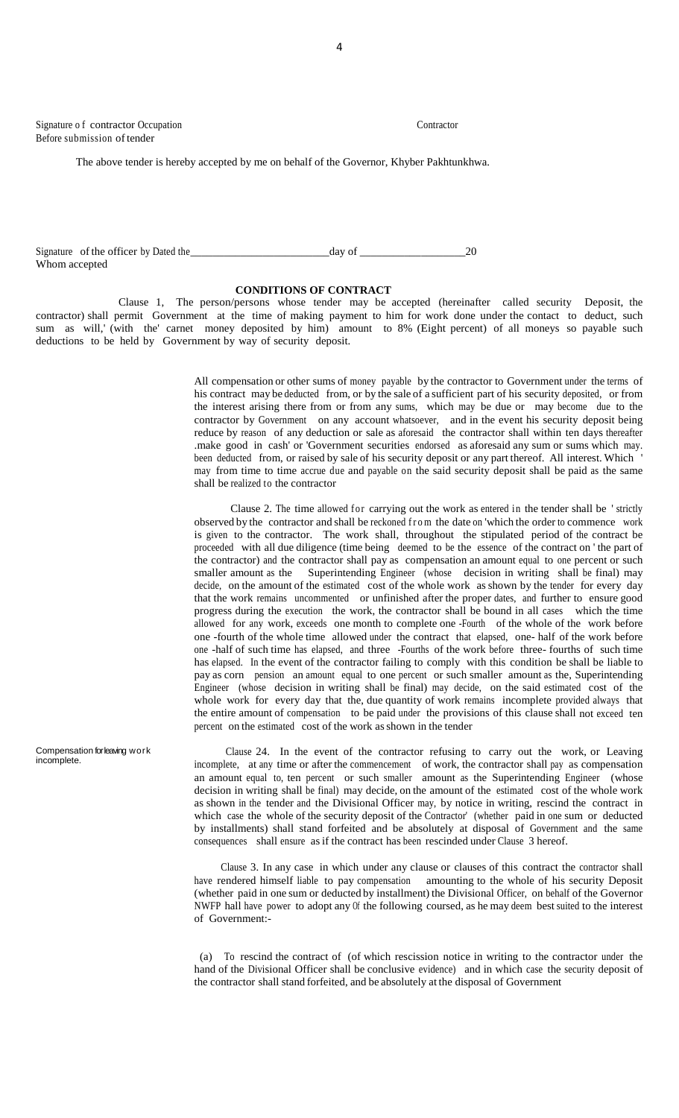Signature of contractor Occupation Contractor Contractor Before submission of tender

The above tender is hereby accepted by me on behalf of the Governor, Khyber Pakhtunkhwa.

|               | Signature of the officer by Dated the | day o' |  |
|---------------|---------------------------------------|--------|--|
| Whom accepted |                                       |        |  |

#### **CONDITIONS OF CONTRACT**

Clause 1, The person/persons whose tender may be accepted (hereinafter called security Deposit, the contractor) shall permit Government at the time of making payment to him for work done under the contact to deduct, such sum as will,' (with the' carnet money deposited by him) amount to 8% (Eight percent) of all moneys so payable such deductions to be held by Government by way of security deposit.

> All compensation or other sums of money payable by the contractor to Government under the terms of his contract may be deducted from, or by the sale of a sufficient part of his security deposited, or from the interest arising there from or from any sums, which may be due or may become due to the contractor by Government on any account whatsoever, and in the event his security deposit being reduce by reason of any deduction or sale as aforesaid the contractor shall within ten days thereafter .make good in cash' or 'Government securities endorsed as aforesaid any sum or sums which may. been deducted from, or raised by sale of his security deposit or any part thereof. All interest. Which ' may from time to time accrue due and payable on the said security deposit shall be paid as the same shall be realized to the contractor

> Clause 2. The time allowed for carrying out the work as entered in the tender shall be 'strictly observed by the contractor and shall be reckoned from the date on 'which the order to commence work is given to the contractor. The work shall, throughout the stipulated period of the contract be proceeded with all due diligence (time being deemed to be the essence of the contract on ' the part of the contractor) and the contractor shall pay as compensation an amount equal to one percent or such smaller amount as the Superintending Engineer (whose decision in writing shall be final) may decide, on the amount of the estimated cost of the whole work as shown by the tender for every day that the work remains uncommented or unfinished after the proper dates, and further to ensure good progress during the execution the work, the contractor shall be bound in all cases which the time allowed for any work, exceeds one month to complete one -Fourth of the whole of the work before one -fourth of the whole time allowed under the contract that elapsed, one- half of the work before one -half of such time has elapsed, and three -Fourths of the work before three- fourths of such time has elapsed. In the event of the contractor failing to comply with this condition be shall be liable to pay as corn pension an amount equal to one percent or such smaller amount as the, Superintending Engineer (whose decision in writing shall be final) may decide, on the said estimated cost of the whole work for every day that the, due quantity of work remains incomplete provided always that the entire amount of compensation to be paid under the provisions of this clause shall not exceed ten percent on the estimated cost of the work asshown in the tender

> Clause 24. In the event of the contractor refusing to carry out the work, or Leaving incomplete, at any time or after the commencement of work, the contractor shall pay as compensation an amount equal to, ten percent or such smaller amount as the Superintending Engineer (whose decision in writing shall be final) may decide, on the amount of the estimated cost of the whole work as shown in the tender and the Divisional Officer may, by notice in writing, rescind the contract in which case the whole of the security deposit of the Contractor' (whether paid in one sum or deducted by installments) shall stand forfeited and be absolutely at disposal of Government and the same consequences shall ensure asif the contract has been rescinded under Clause 3 hereof.

> Clause 3. In any case in which under any clause or clauses of this contract the contractor shall have rendered himself liable to pay compensation amounting to the whole of his security Deposit (whether paid in one sum or deducted by installment) the Divisional Officer, on behalf of the Governor NWFP hall have power to adopt any Of the following coursed, as he may deem best suited to the interest of Government:-

> (a) To rescind the contract of (of which rescission notice in writing to the contractor under the hand of the Divisional Officer shall be conclusive evidence) and in which case the security deposit of the contractor shall stand forfeited, and be absolutely at the disposal of Government

Compensation for leaving work incomplete.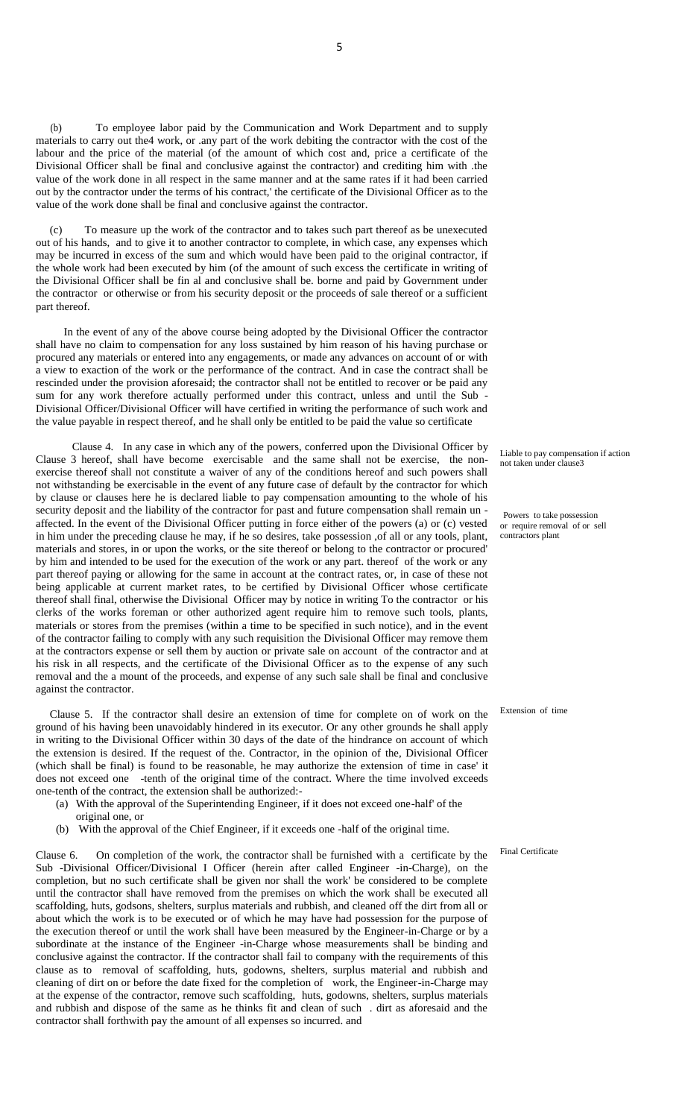(b) To employee labor paid by the Communication and Work Department and to supply materials to carry out the4 work, or .any part of the work debiting the contractor with the cost of the labour and the price of the material (of the amount of which cost and, price a certificate of the Divisional Officer shall be final and conclusive against the contractor) and crediting him with .the value of the work done in all respect in the same manner and at the same rates if it had been carried out by the contractor under the terms of his contract,' the certificate of the Divisional Officer as to the value of the work done shall be final and conclusive against the contractor.

To measure up the work of the contractor and to takes such part thereof as be unexecuted out of his hands, and to give it to another contractor to complete, in which case, any expenses which may be incurred in excess of the sum and which would have been paid to the original contractor, if the whole work had been executed by him (of the amount of such excess the certificate in writing of the Divisional Officer shall be fin al and conclusive shall be. borne and paid by Government under the contractor or otherwise or from his security deposit or the proceeds of sale thereof or a sufficient part thereof.

 In the event of any of the above course being adopted by the Divisional Officer the contractor shall have no claim to compensation for any loss sustained by him reason of his having purchase or procured any materials or entered into any engagements, or made any advances on account of or with a view to exaction of the work or the performance of the contract. And in case the contract shall be rescinded under the provision aforesaid; the contractor shall not be entitled to recover or be paid any sum for any work therefore actually performed under this contract, unless and until the Sub - Divisional Officer/Divisional Officer will have certified in writing the performance of such work and the value payable in respect thereof, and he shall only be entitled to be paid the value so certificate

 Clause 4. In any case in which any of the powers, conferred upon the Divisional Officer by Clause 3 hereof, shall have become exercisable and the same shall not be exercise, the nonexercise thereof shall not constitute a waiver of any of the conditions hereof and such powers shall not withstanding be exercisable in the event of any future case of default by the contractor for which by clause or clauses here he is declared liable to pay compensation amounting to the whole of his security deposit and the liability of the contractor for past and future compensation shall remain un affected. In the event of the Divisional Officer putting in force either of the powers (a) or (c) vested in him under the preceding clause he may, if he so desires, take possession ,of all or any tools, plant, materials and stores, in or upon the works, or the site thereof or belong to the contractor or procured' by him and intended to be used for the execution of the work or any part. thereof of the work or any part thereof paying or allowing for the same in account at the contract rates, or, in case of these not being applicable at current market rates, to be certified by Divisional Officer whose certificate thereof shall final, otherwise the Divisional Officer may by notice in writing To the contractor or his clerks of the works foreman or other authorized agent require him to remove such tools, plants, materials or stores from the premises (within a time to be specified in such notice), and in the event of the contractor failing to comply with any such requisition the Divisional Officer may remove them at the contractors expense or sell them by auction or private sale on account of the contractor and at his risk in all respects, and the certificate of the Divisional Officer as to the expense of any such removal and the a mount of the proceeds, and expense of any such sale shall be final and conclusive against the contractor.

 Clause 5. If the contractor shall desire an extension of time for complete on of work on the ground of his having been unavoidably hindered in its executor. Or any other grounds he shall apply in writing to the Divisional Officer within 30 days of the date of the hindrance on account of which the extension is desired. If the request of the. Contractor, in the opinion of the, Divisional Officer (which shall be final) is found to be reasonable, he may authorize the extension of time in case' it does not exceed one -tenth of the original time of the contract. Where the time involved exceeds one-tenth of the contract, the extension shall be authorized:-

- (a) With the approval of the Superintending Engineer, if it does not exceed one-half' of the original one, or
- (b) With the approval of the Chief Engineer, if it exceeds one -half of the original time.

Clause 6. On completion of the work, the contractor shall be furnished with a certificate by the Sub -Divisional Officer/Divisional I Officer (herein after called Engineer -in-Charge), on the completion, but no such certificate shall be given nor shall the work' be considered to be complete until the contractor shall have removed from the premises on which the work shall be executed all scaffolding, huts, godsons, shelters, surplus materials and rubbish, and cleaned off the dirt from all or about which the work is to be executed or of which he may have had possession for the purpose of the execution thereof or until the work shall have been measured by the Engineer-in-Charge or by a subordinate at the instance of the Engineer -in-Charge whose measurements shall be binding and conclusive against the contractor. If the contractor shall fail to company with the requirements of this clause as to removal of scaffolding, huts, godowns, shelters, surplus material and rubbish and cleaning of dirt on or before the date fixed for the completion of work, the Engineer-in-Charge may at the expense of the contractor, remove such scaffolding, huts, godowns, shelters, surplus materials and rubbish and dispose of the same as he thinks fit and clean of such . dirt as aforesaid and the contractor shall forthwith pay the amount of all expenses so incurred. and

Liable to pay compensation if action not taken under clause3

Powers to take possession or require removal of or sell contractors plant

Extension of time

Final Certificate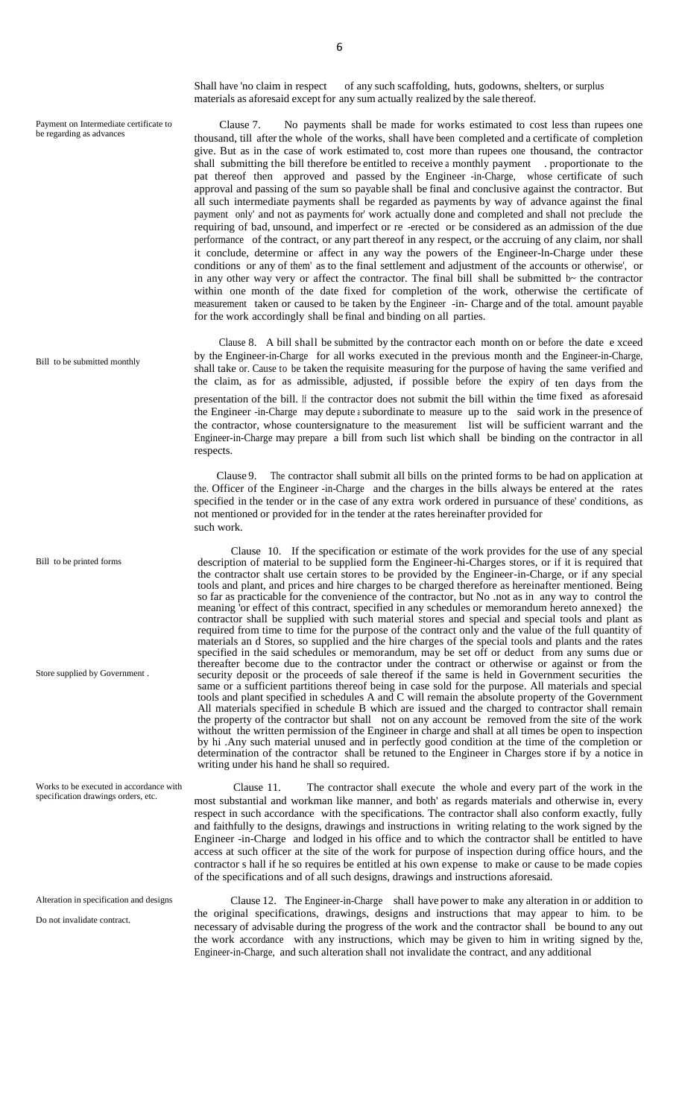Shall have 'no claim in respect of any such scaffolding, huts, godowns, shelters, or surplus materials as aforesaid except for any sum actually realized by the sale thereof.

 Clause 7. No payments shall be made for works estimated to cost less than rupees one thousand, till after the whole of the works, shall have been completed and a certificate of completion give. But as in the case of work estimated to, cost more than rupees one thousand, the contractor shall submitting the bill therefore be entitled to receive a monthly payment . proportionate to the pat thereof then approved and passed by the Engineer -in-Charge, whose certificate of such approval and passing of the sum so payable shall be final and conclusive against the contractor. But all such intermediate payments shall be regarded as payments by way of advance against the final payment only' and not as payments for' work actually done and completed and shall not preclude the requiring of bad, unsound, and imperfect or re -erected or be considered as an admission of the due performance of the contract, or any part thereof in any respect, or the accruing of any claim, nor shall it conclude, determine or affect in any way the powers of the Engineer-ln-Charge under these conditions or any of them' as to the final settlement and adjustment of the accounts or otherwise', or in any other way very or affect the contractor. The final bill shall be submitted  $b<sub>o</sub>$  the contractor within one month of the date fixed for completion of the work, otherwise the certificate of measurement taken or caused to be taken by the Engineer -in- Charge and of the total. amount payable for the work accordingly shall be final and binding on all parties.

 Clause 8. A bill shall be submitted by the contractor each month on or before the date e xceed by the Engineer-in-Charge for all works executed in the previous month and the Engineer-in-Charge, shall take or. Cause to be taken the requisite measuring for the purpose of having the same verified and the claim, as for as admissible, adjusted, if possible before the expiry of ten days from the presentation of the bill. If the contractor does not submit the bill within the time fixed as aforesaid the Engineer -in-Charge may depute <sup>a</sup> subordinate to measure up to the said work in the presence of the contractor, whose countersignature to the measurement list will be sufficient warrant and the Engineer-in-Charge may prepare a bill from such list which shall be binding on the contractor in all respects.

 Clause 9. The contractor shall submit all bills on the printed forms to be had on application at the. Officer of the Engineer -in-Charge and the charges in the bills always be entered at the rates specified in the tender or in the case of any extra work ordered in pursuance of these' conditions, as not mentioned or provided for in the tender at the rates hereinafter provided for such work.

 Clause 10. If the specification or estimate of the work provides for the use of any special description of material to be supplied form the Engineer-hi-Charges stores, or if it is required that the contractor shalt use certain stores to be provided by the Engineer-in-Charge, or if any special tools and plant, and prices and hire charges to be charged therefore as hereinafter mentioned. Being so far as practicable for the convenience of the contractor, but No .not as in any way to control the meaning 'or effect of this contract, specified in any schedules or memorandum hereto annexed} the contractor shall be supplied with such material stores and special and special tools and plant as required from time to time for the purpose of the contract only and the value of the full quantity of materials an d Stores, so supplied and the hire charges of the special tools and plants and the rates specified in the said schedules or memorandum, may be set off or deduct from any sums due or thereafter become due to the contractor under the contract or otherwise or against or from the security deposit or the proceeds of sale thereof if the same is held in Government securities the same or a sufficient partitions thereof being in case sold for the purpose. All materials and special tools and plant specified in schedules A and C will remain the absolute property of the Government All materials specified in schedule B which are issued and the charged to contractor shall remain the property of the contractor but shall not on any account be removed from the site of the work without the written permission of the Engineer in charge and shall at all times be open to inspection by hi .Any such material unused and in perfectly good condition at the time of the completion or determination of the contractor shall be retuned to the Engineer in Charges store if by a notice in writing under his hand he shall so required.

 Clause 11. The contractor shall execute the whole and every part of the work in the most substantial and workman like manner, and both' as regards materials and otherwise in, every respect in such accordance with the specifications. The contractor shall also conform exactly, fully and faithfully to the designs, drawings and instructions in writing relating to the work signed by the Engineer -in-Charge and lodged in his office and to which the contractor shall be entitled to have access at such officer at the site of the work for purpose of inspection during office hours, and the contractor s hall if he so requires be entitled at his own expense to make or cause to be made copies of the specifications and of all such designs, drawings and instructions aforesaid.

 Clause 12. The Engineer-in-Charge shall have power to make any alteration in or addition to the original specifications, drawings, designs and instructions that may appear to him. to be necessary of advisable during the progress of the work and the contractor shall be bound to any out the work accordance with any instructions, which may be given to him in writing signed by the, Engineer-in-Charge, and such alteration shall not invalidate the contract, and any additional

Bill to be submitted monthly

Bill to be printed forms

Store supplied by Government .

Works to be executed in accordance with specification drawings orders, etc.

Alteration in specification and designs

Do not invalidate contract.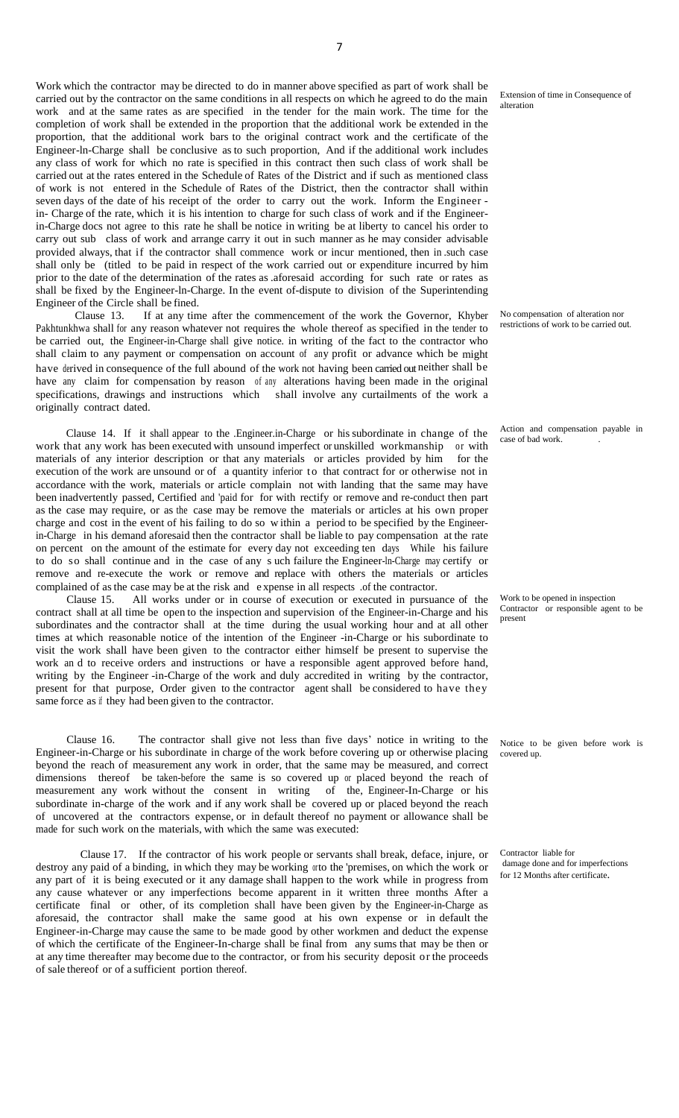Work which the contractor may be directed to do in manner above specified as part of work shall be carried out by the contractor on the same conditions in all respects on which he agreed to do the main work and at the same rates as are specified in the tender for the main work. The time for the completion of work shall be extended in the proportion that the additional work be extended in the proportion, that the additional work bars to the original contract work and the certificate of the Engineer-ln-Charge shall be conclusive as to such proportion, And if the additional work includes any class of work for which no rate is specified in this contract then such class of work shall be carried out at the rates entered in the Schedule of Rates of the District and if such as mentioned class of work is not entered in the Schedule of Rates of the District, then the contractor shall within seven days of the date of his receipt of the order to carry out the work. Inform the Engineer in- Charge of the rate, which it is his intention to charge for such class of work and if the Engineerin-Charge docs not agree to this rate he shall be notice in writing be at liberty to cancel his order to carry out sub class of work and arrange carry it out in such manner as he may consider advisable provided always, that if the contractor shall commence work or incur mentioned, then in .such case shall only be (titled to be paid in respect of the work carried out or expenditure incurred by him prior to the date of the determination of the rates as .aforesaid according for such rate or rates as shall be fixed by the Engineer-ln-Charge. In the event of-dispute to division of the Superintending Engineer of the Circle shall be fined.

 Clause 13. If at any time after the commencement of the work the Governor, Khyber Pakhtunkhwa shall for any reason whatever not requires the whole thereof as specified in the tender to be carried out, the Engineer-in-Charge shall give notice. in writing of the fact to the contractor who shall claim to any payment or compensation on account of any profit or advance which be might have derived in consequence of the full abound of the work not having been carried out neither shall be have any claim for compensation by reason of any alterations having been made in the original specifications, drawings and instructions which shall involve any curtailments of the work a originally contract dated.

 Clause 14. If it shall appear to the .Engineer.in-Charge or his subordinate in change of the work that any work has been executed with unsound imperfect or unskilled workmanship or with materials of any interior description or that any materials or articles provided by him for the execution of the work are unsound or of a quantity inferior to that contract for or otherwise not in accordance with the work, materials or article complain not with landing that the same may have been inadvertently passed, Certified and 'paid for for with rectify or remove and re-conduct then part as the case may require, or as the case may be remove the materials or articles at his own proper charge and cost in the event of his failing to do so w ithin a period to be specified by the Engineerin-Charge in his demand aforesaid then the contractor shall be liable to pay compensation at the rate on percent on the amount of the estimate for every day not exceeding ten days While his failure to do so shall continue and in the case of any s uch failure the Engineer-ln-Charge may certify or remove and re-execute the work or remove and replace with others the materials or articles complained of as the case may be at the risk and expense in all respects .of the contractor.<br>Clause 15. All works under or in course of execution or executed in pursua

All works under or in course of execution or executed in pursuance of the contract shall at all time be open to the inspection and supervision of the Engineer-in-Charge and his subordinates and the contractor shall at the time during the usual working hour and at all other times at which reasonable notice of the intention of the Engineer -in-Charge or his subordinate to visit the work shall have been given to the contractor either himself be present to supervise the work an d to receive orders and instructions or have a responsible agent approved before hand, writing by the Engineer -in-Charge of the work and duly accredited in writing by the contractor, present for that purpose, Order given to the contractor agent shall be considered to have they same force as if they had been given to the contractor.

 Clause 16. The contractor shall give not less than five days' notice in writing to the Engineer-in-Charge or his subordinate in charge of the work before covering up or otherwise placing beyond the reach of measurement any work in order, that the same may be measured, and correct dimensions thereof be taken-before the same is so covered up or placed beyond the reach of measurement any work without the consent in writing of the, Engineer-In-Charge or his subordinate in-charge of the work and if any work shall be covered up or placed beyond the reach of uncovered at the contractors expense, or in default thereof no payment or allowance shall be made for such work on the materials, with which the same was executed:

 Clause 17. If the contractor of his work people or servants shall break, deface, injure, or destroy any paid of a binding, in which they may be working orto the 'premises, on which the work or any part of it is being executed or it any damage shall happen to the work while in progress from any cause whatever or any imperfections become apparent in it written three months After a certificate final or other, of its completion shall have been given by the Engineer-in-Charge as aforesaid, the contractor shall make the same good at his own expense or in default the Engineer-in-Charge may cause the same to be made good by other workmen and deduct the expense of which the certificate of the Engineer-In-charge shall be final from any sums that may be then or at any time thereafter may become due to the contractor, or from his security deposit or the proceeds of sale thereof or of a sufficient portion thereof.

Extension of time in Consequence of alteration

No compensation of alteration nor restrictions of work to be carried out.

Action and compensation payable in case of bad work.

Work to be opened in inspection Contractor or responsible agent to be present

Notice to be given before work is covered up.

Contractor liable for damage done and for imperfections for 12 Months after certificate.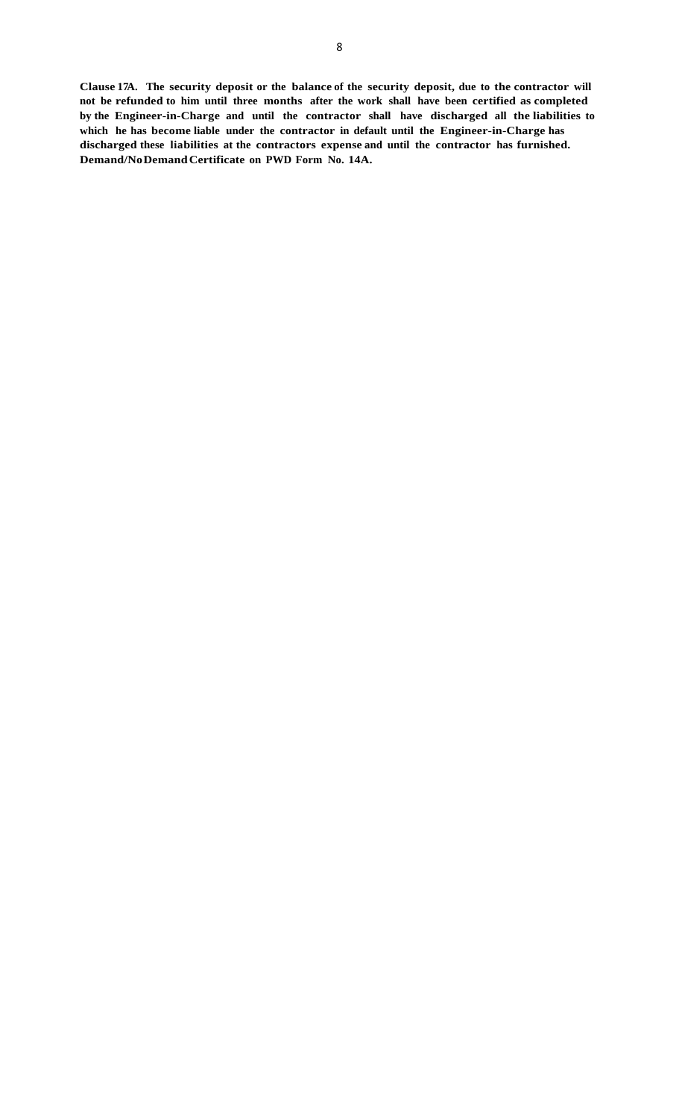**Clause 17A. The security deposit or the balance of the security deposit, due to the contractor will not be refunded to him until three months after the work shall have been certified as completed by the Engineer-in-Charge and until the contractor shall have discharged all the liabilities to which he has become liable under the contractor in default until the Engineer-in-Charge has discharged these liabilities at the contractors expense and until the contractor has furnished. Demand/NoDemandCertificate on PWD Form No. 14A.**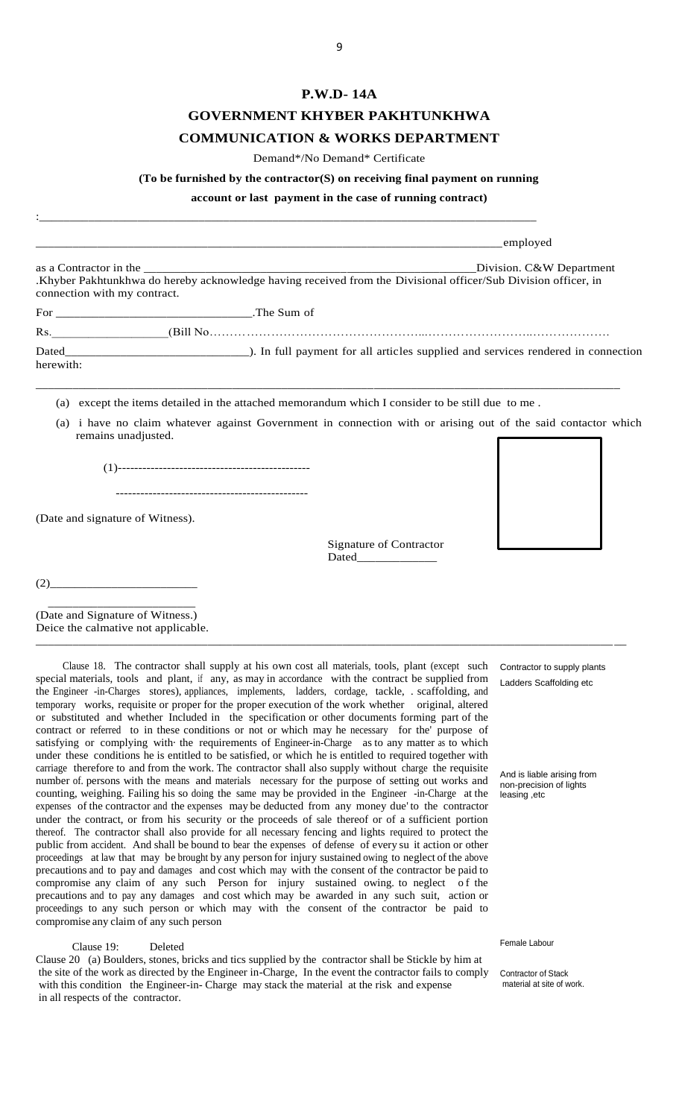## **P.W.D- 14A**

## **GOVERNMENT [KHYBER PAKHTUNKHWA](http://kp.gov.pk/)**

## **COMMUNICATION & WORKS DEPARTMENT**

Demand\*/No Demand\* Certificate

#### **(To be furnished by the contractor(S) on receiving final payment on running**

**account or last payment in the case of running contract)**

:\_\_\_\_\_\_\_\_\_\_\_\_\_\_\_\_\_\_\_\_\_\_\_\_\_\_\_\_\_\_\_\_\_\_\_\_\_\_\_\_\_\_\_\_\_\_\_\_\_\_\_\_\_\_\_\_\_\_\_\_\_\_\_\_\_\_\_\_\_\_\_\_\_\_\_\_\_\_\_\_\_

|                              | employed                                                                                                                                   |
|------------------------------|--------------------------------------------------------------------------------------------------------------------------------------------|
| connection with my contract. | Division. C&W Department<br>.Khyber Pakhtunkhwa do hereby acknowledge having received from the Divisional officer/Sub Division officer, in |
| For The Sum of               |                                                                                                                                            |
| Rs.                          |                                                                                                                                            |
| herewith:                    |                                                                                                                                            |
| (a)                          | except the items detailed in the attached memorandum which I consider to be still due to me.                                               |
| remains unadjusted.          | (a) i have no claim whatever against Government in connection with or arising out of the said contactor which                              |

\_\_\_\_\_\_\_\_\_\_\_\_\_\_\_\_\_\_\_\_\_\_\_\_\_\_\_\_\_\_\_\_\_\_\_\_\_\_\_\_\_\_\_\_\_\_\_\_\_\_\_\_\_\_\_\_\_\_\_\_\_\_\_\_\_\_\_\_\_\_\_\_\_\_\_\_\_\_\_\_\_\_\_\_\_\_\_\_\_\_\_\_\_\_ \_\_

(1)-----------------------------------------------

-----------------------------------------------

(Date and signature of Witness).

 Signature of Contractor Dated

(2)\_\_\_\_\_\_\_\_\_\_\_\_\_\_\_\_\_\_\_\_\_\_\_\_

 \_\_\_\_\_\_\_\_\_\_\_\_\_\_\_\_\_\_\_\_\_\_\_\_ (Date and Signature of Witness.) Deice the calmative not applicable.

 Clause 18. The contractor shall supply at his own cost all materials, tools, plant (except such special materials, tools and plant, if any, as may in accordance with the contract be supplied from the Engineer -in-Charges stores), appliances, implements, ladders, cordage, tackle, . scaffolding, and temporary works, requisite or proper for the proper execution of the work whether original, altered or substituted and whether Included in the specification or other documents forming part of the contract or referred to in these conditions or not or which may he necessary for the' purpose of satisfying or complying with the requirements of Engineer-in-Charge as to any matter as to which under these conditions he is entitled to be satisfied, or which he is entitled to required together with carriage therefore to and from the work. The contractor shall also supply without charge the requisite number of. persons with the means and materials necessary for the purpose of setting out works and counting, weighing. Failing his so doing the same may be provided in the Engineer -in-Charge at the expenses of the contractor and the expenses may be deducted from any money due' to the contractor under the contract, or from his security or the proceeds of sale thereof or of a sufficient portion thereof. The contractor shall also provide for all necessary fencing and lights required to protect the public from accident. And shall be bound to bear the expenses of defense of every su it action or other proceedings at law that may be brought by any person for injury sustained owing to neglect of the above precautions and to pay and damages and cost which may with the consent of the contractor be paid to compromise any claim of any such Person for injury sustained owing to neglect of the precautions and to pay any damages and cost which may be awarded in any such suit, action or proceedings to any such person or which may with the consent of the contractor be paid to compromise any claim of any such person

Clause 19: Deleted

Clause 20 (a) Boulders, stones, bricks and tics supplied by the contractor shall be Stickle by him at the site of the work as directed by the Engineer in-Charge, In the event the contractor fails to comply with this condition the Engineer-in- Charge may stack the material at the risk and expense in all respects of the contractor.

Contractor to supply plants Ladders Scaffolding etc

And is liable arising from non-precision of lights leasing ,etc

Female Labour

Contractor of Stack material at site of work.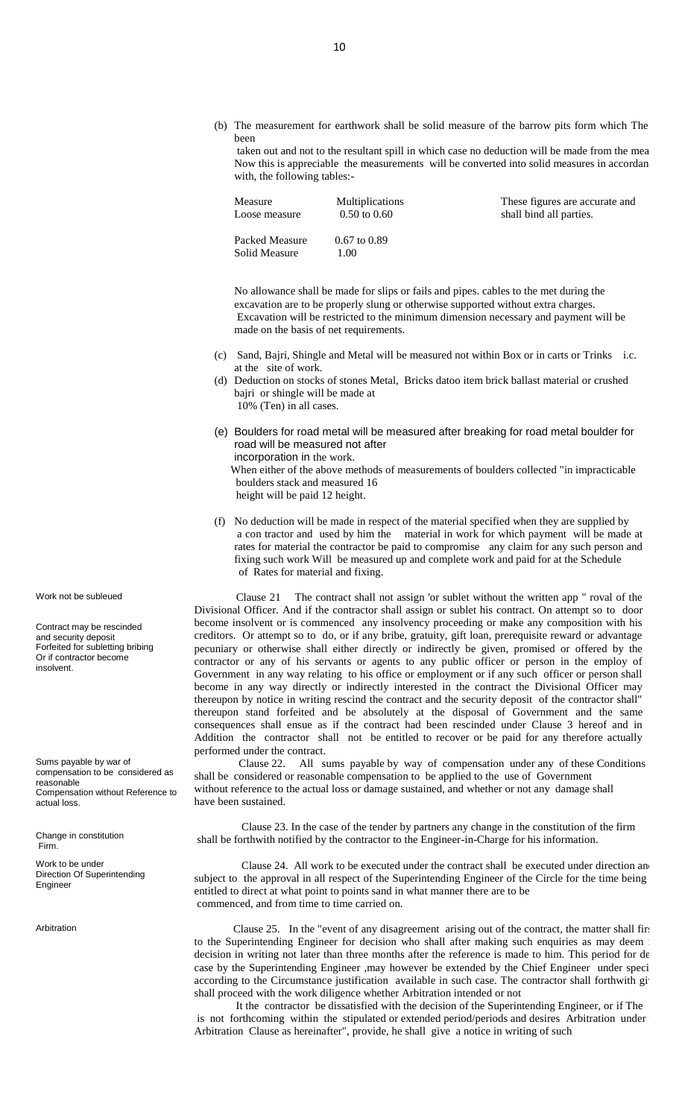(b) The measurement for earthwork shall be solid measure of the barrow pits form which The been

taken out and not to the resultant spill in which case no deduction will be made from the mea Now this is appreciable the measurements will be converted into solid measures in accordan with, the following tables:-

| Measure                         | <b>Multiplications</b>   | These figures are accurate and |
|---------------------------------|--------------------------|--------------------------------|
| Loose measure                   | $0.50 \text{ to } 0.60$  | shall bind all parties.        |
| Packed Measure<br>Solid Measure | $0.67$ to $0.89$<br>1.00 |                                |

No allowance shall be made for slips or fails and pipes. cables to the met during the excavation are to be properly slung or otherwise supported without extra charges. Excavation will be restricted to the minimum dimension necessary and payment will be made on the basis of net requirements.

- (c) Sand, Bajri, Shingle and Metal will be measured not within Box or in carts or Trinks i.c. at the site of work.
- (d) Deduction on stocks of stones Metal, Bricks datoo item brick ballast material or crushed bajri or shingle will be made at 10% (Ten) in all cases.
- (e) Boulders for road metal will be measured after breaking for road metal boulder for road will be measured not after incorporation in the work.

 When either of the above methods of measurements of boulders collected "in impracticable boulders stack and measured 16 height will be paid 12 height.

(f) No deduction will be made in respect of the material specified when they are supplied by a con tractor and used by him the material in work for which payment will be made at rates for material the contractor be paid to compromise any claim for any such person and fixing such work Will be measured up and complete work and paid for at the Schedule of Rates for material and fixing.

 Clause 21 The contract shall not assign 'or sublet without the written app " roval of the Divisional Officer. And if the contractor shall assign or sublet his contract. On attempt so to door become insolvent or is commenced any insolvency proceeding or make any composition with his creditors. Or attempt so to do, or if any bribe, gratuity, gift loan, prerequisite reward or advantage pecuniary or otherwise shall either directly or indirectly be given, promised or offered by the contractor or any of his servants or agents to any public officer or person in the employ of Government in any way relating to his office or employment or if any such officer or person shall become in any way directly or indirectly interested in the contract the Divisional Officer may thereupon by notice in writing rescind the contract and the security deposit of the contractor shall" thereupon stand forfeited and be absolutely at the disposal of Government and the same consequences shall ensue as if the contract had been rescinded under Clause 3 hereof and in Addition the contractor shall not be entitled to recover or be paid for any therefore actually performed under the contract.

 Clause 22. All sums payable by way of compensation under any of these Conditions shall be considered or reasonable compensation to be applied to the use of Government without reference to the actual loss or damage sustained, and whether or not any damage shall have been sustained.

 Clause 23. In the case of the tender by partners any change in the constitution of the firm shall be forthwith notified by the contractor to the Engineer-in-Charge for his information.

Clause 24. All work to be executed under the contract shall be executed under direction and subject to the approval in all respect of the Superintending Engineer of the Circle for the time being entitled to direct at what point to points sand in what manner there are to be commenced, and from time to time carried on.

Arbitration Clause 25. In the "event of any disagreement arising out of the contract, the matter shall fire to the Superintending Engineer for decision who shall after making such enquiries as may deem i decision in writing not later than three months after the reference is made to him. This period for de case by the Superintending Engineer ,may however be extended by the Chief Engineer under speciaccording to the Circumstance justification available in such case. The contractor shall forthwith give shall proceed with the work diligence whether Arbitration intended or not

 It the contractor be dissatisfied with the decision of the Superintending Engineer, or if The is not forthcoming within the stipulated or extended period/periods and desires Arbitration under Arbitration Clause as hereinafter", provide, he shall give a notice in writing of such

Work not be subleued

Contract may be rescinded and security deposit Forfeited for subletting bribing Or if contractor become insolvent.

Sums payable by war of compensation to be considered as reasonable Compensation without Reference to actual loss.

Change in constitution Firm.

Work to be under Direction Of Superintending **Engineer**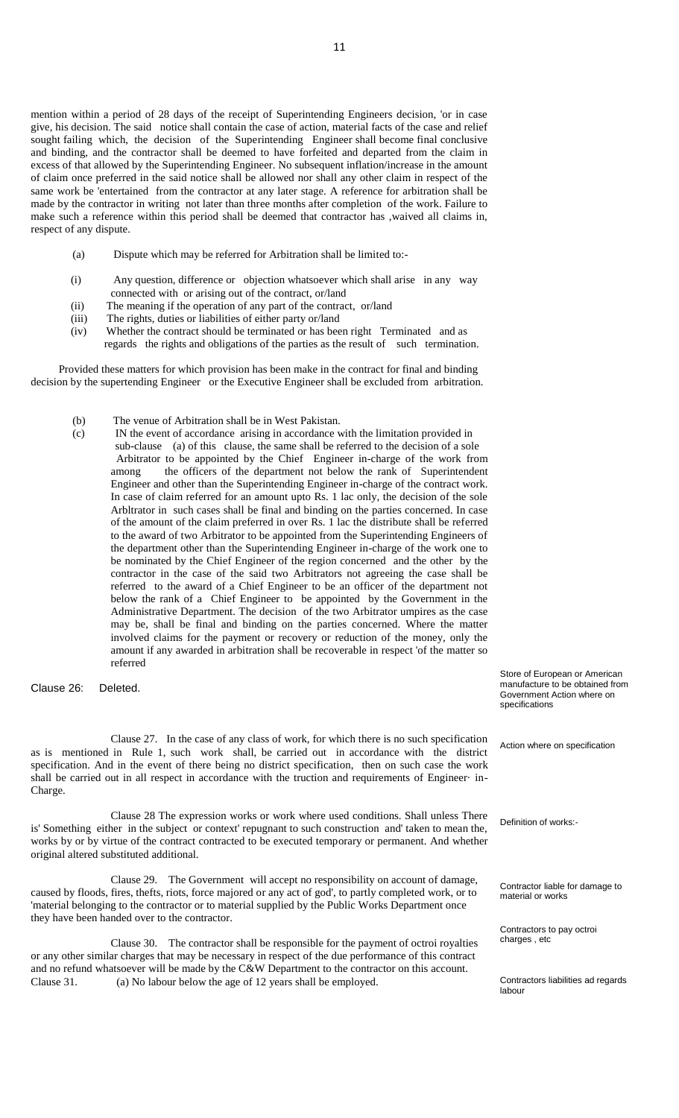mention within a period of 28 days of the receipt of Superintending Engineers decision, 'or in case give, his decision. The said notice shall contain the case of action, material facts of the case and relief sought failing which, the decision of the Superintending Engineer shall become final conclusive and binding, and the contractor shall be deemed to have forfeited and departed from the claim in excess of that allowed by the Superintending Engineer. No subsequent inflation/increase in the amount of claim once preferred in the said notice shall be allowed nor shall any other claim in respect of the same work be 'entertained from the contractor at any later stage. A reference for arbitration shall be made by the contractor in writing not later than three months after completion of the work. Failure to make such a reference within this period shall be deemed that contractor has ,waived all claims in, respect of any dispute.

- (a) Dispute which may be referred for Arbitration shall be limited to:-
- (i) Any question, difference or objection whatsoever which shall arise in any way connected with or arising out of the contract, or/land
- (ii) The meaning if the operation of any part of the contract, or/land
- (iii) The rights, duties or liabilities of either party or/land
- (iv) Whether the contract should be terminated or has been right Terminated and as regards the rights and obligations of the parties as the result of such termination.

 Provided these matters for which provision has been make in the contract for final and binding decision by the supertending Engineer or the Executive Engineer shall be excluded from arbitration.

- (b) The venue of Arbitration shall be in West Pakistan.
- (c) IN the event of accordance arising in accordance with the limitation provided in sub-clause (a) of this clause, the same shall be referred to the decision of a sole Arbitrator to be appointed by the Chief Engineer in-charge of the work from among the officers of the department not below the rank of Superintendent Engineer and other than the Superintending Engineer in-charge of the contract work. In case of claim referred for an amount upto Rs. 1 lac only, the decision of the sole Arbltrator in such cases shall be final and binding on the parties concerned. In case of the amount of the claim preferred in over Rs. 1 lac the distribute shall be referred to the award of two Arbitrator to be appointed from the Superintending Engineers of the department other than the Superintending Engineer in-charge of the work one to be nominated by the Chief Engineer of the region concerned and the other by the contractor in the case of the said two Arbitrators not agreeing the case shall be referred to the award of a Chief Engineer to be an officer of the department not below the rank of a Chief Engineer to be appointed by the Government in the Administrative Department. The decision of the two Arbitrator umpires as the case may be, shall be final and binding on the parties concerned. Where the matter involved claims for the payment or recovery or reduction of the money, only the amount if any awarded in arbitration shall be recoverable in respect 'of the matter so referred

#### Clause 26: Deleted.

Clause 27. In the case of any class of work, for which there is no such specification as is mentioned in Rule 1, such work shall, be carried out in accordance with the district specification. And in the event of there being no district specification, then on such case the work shall be carried out in all respect in accordance with the truction and requirements of Engineer· in-Charge.

Clause 28 The expression works or work where used conditions. Shall unless There is' Something either in the subject or context' repugnant to such construction and' taken to mean the, works by or by virtue of the contract contracted to be executed temporary or permanent. And whether original altered substituted additional.

Clause 29. The Government will accept no responsibility on account of damage, caused by floods, fires, thefts, riots, force majored or any act of god', to partly completed work, or to 'material belonging to the contractor or to material supplied by the Public Works Department once they have been handed over to the contractor.

Clause 30. The contractor shall be responsible for the payment of octroi royalties or any other similar charges that may be necessary in respect of the due performance of this contract and no refund whatsoever will be made by the C&W Department to the contractor on this account. Clause 31. (a) No labour below the age of 12 years shall be employed. Contractors liabilities ad regards

Store of European or American manufacture to be obtained from Government Action where on specifications

Action where on specification

Definition of works:-

Contractor liable for damage to material or works

Contractors to pay octroi charges , etc

labour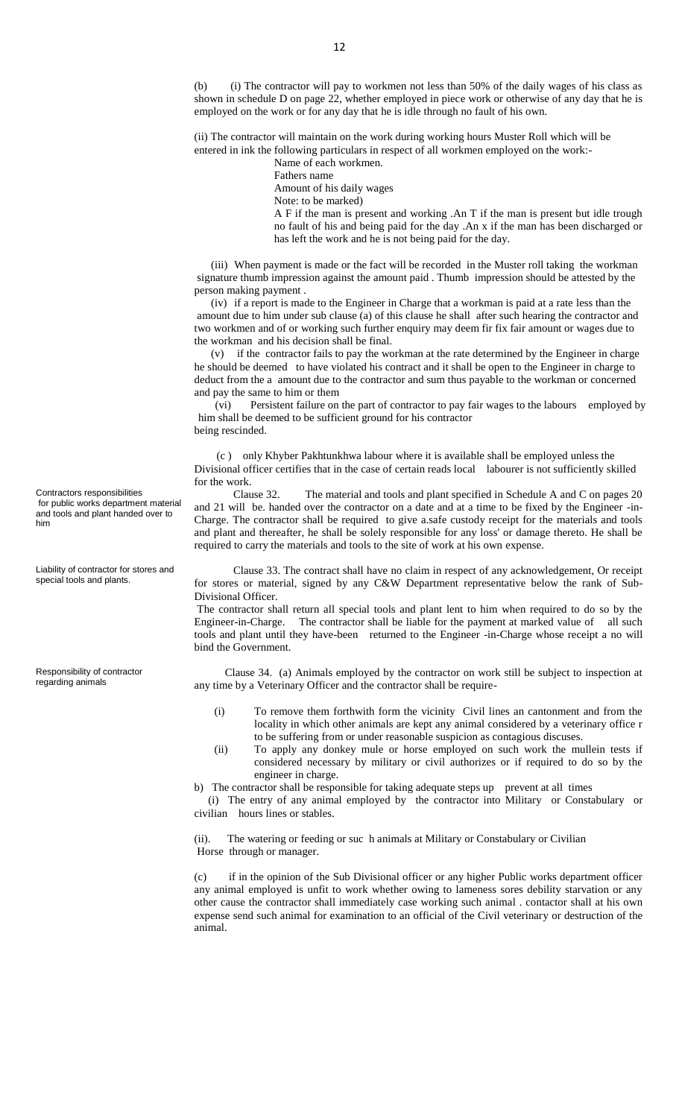(b) (i) The contractor will pay to workmen not less than 50% of the daily wages of his class as shown in schedule D on page 22, whether employed in piece work or otherwise of any day that he is employed on the work or for any day that he is idle through no fault of his own.

(ii) The contractor will maintain on the work during working hours Muster Roll which will be entered in ink the following particulars in respect of all workmen employed on the work:-

Name of each workmen.

Fathers name

Amount of his daily wages

Note: to be marked)

A F if the man is present and working .An T if the man is present but idle trough no fault of his and being paid for the day .An x if the man has been discharged or has left the work and he is not being paid for the day.

 (iii) When payment is made or the fact will be recorded in the Muster roll taking the workman signature thumb impression against the amount paid . Thumb impression should be attested by the person making payment .

 (iv) if a report is made to the Engineer in Charge that a workman is paid at a rate less than the amount due to him under sub clause (a) of this clause he shall after such hearing the contractor and two workmen and of or working such further enquiry may deem fir fix fair amount or wages due to the workman and his decision shall be final.

 (v) if the contractor fails to pay the workman at the rate determined by the Engineer in charge he should be deemed to have violated his contract and it shall be open to the Engineer in charge to deduct from the a amount due to the contractor and sum thus payable to the workman or concerned and pay the same to him or them

 (vi) Persistent failure on the part of contractor to pay fair wages to the labours employed by him shall be deemed to be sufficient ground for his contractor being rescinded.

 (c ) only Khyber Pakhtunkhwa labour where it is available shall be employed unless the Divisional officer certifies that in the case of certain reads local labourer is not sufficiently skilled for the work.

 Clause 32. The material and tools and plant specified in Schedule A and C on pages 20 and 21 will be. handed over the contractor on a date and at a time to be fixed by the Engineer -in-Charge. The contractor shall be required to give a.safe custody receipt for the materials and tools and plant and thereafter, he shall be solely responsible for any loss' or damage thereto. He shall be required to carry the materials and tools to the site of work at his own expense.

 Clause 33. The contract shall have no claim in respect of any acknowledgement, Or receipt for stores or material, signed by any C&W Department representative below the rank of Sub-Divisional Officer.

The contractor shall return all special tools and plant lent to him when required to do so by the Engineer-in-Charge. The contractor shall be liable for the payment at marked value of all such tools and plant until they have-been returned to the Engineer -in-Charge whose receipt a no will bind the Government.

 Clause 34. (a) Animals employed by the contractor on work still be subject to inspection at any time by a Veterinary Officer and the contractor shall be require-

- (i) To remove them forthwith form the vicinity Civil lines an cantonment and from the locality in which other animals are kept any animal considered by a veterinary office r to be suffering from or under reasonable suspicion as contagious discuses.
- (ii) To apply any donkey mule or horse employed on such work the mullein tests if considered necessary by military or civil authorizes or if required to do so by the engineer in charge.

b) The contractor shall be responsible for taking adequate steps up prevent at all times

 (i) The entry of any animal employed by the contractor into Military or Constabulary or civilian hours lines or stables.

(ii). The watering or feeding or suc h animals at Military or Constabulary or Civilian Horse through or manager.

(c) if in the opinion of the Sub Divisional officer or any higher Public works department officer any animal employed is unfit to work whether owing to lameness sores debility starvation or any other cause the contractor shall immediately case working such animal . contactor shall at his own expense send such animal for examination to an official of the Civil veterinary or destruction of the animal.

Contractors responsibilities for public works department material and tools and plant handed over to him

Liability of contractor for stores and special tools and plants.

Responsibility of contractor regarding animals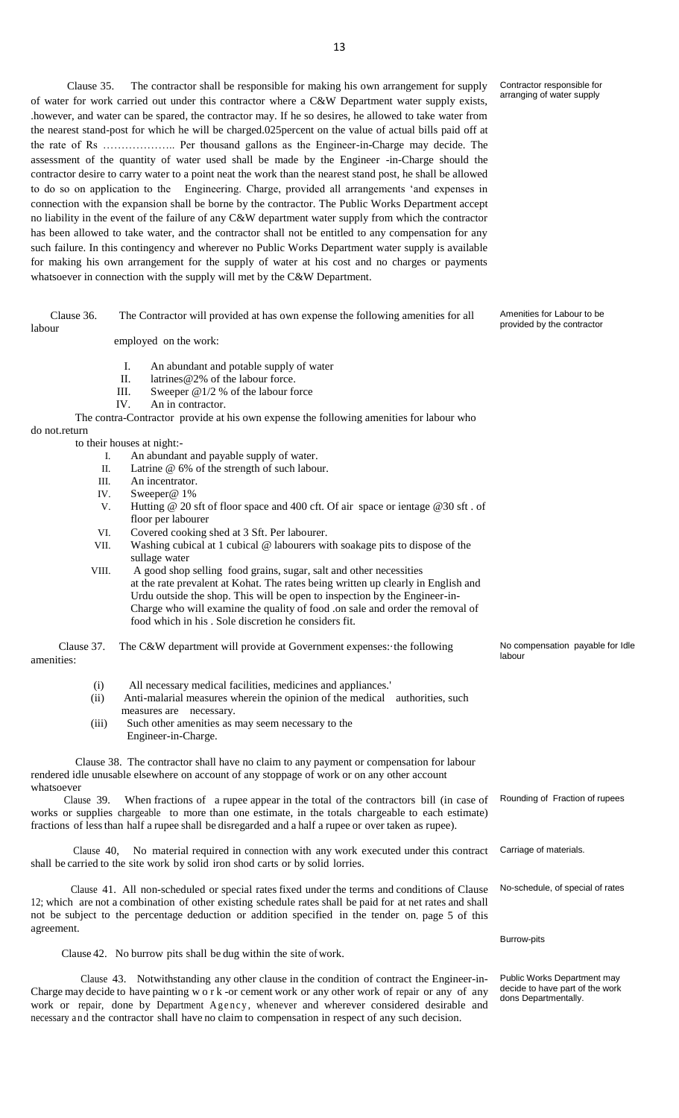Clause 35. The contractor shall be responsible for making his own arrangement for supply of water for work carried out under this contractor where a C&W Department water supply exists, .however, and water can be spared, the contractor may. If he so desires, he allowed to take water from the nearest stand-post for which he will be charged.025percent on the value of actual bills paid off at the rate of Rs ……………….. Per thousand gallons as the Engineer-in-Charge may decide. The assessment of the quantity of water used shall be made by the Engineer -in-Charge should the contractor desire to carry water to a point neat the work than the nearest stand post, he shall be allowed to do so on application to the Engineering. Charge, provided all arrangements 'and expenses in connection with the expansion shall be borne by the contractor. The Public Works Department accept no liability in the event of the failure of any C&W department water supply from which the contractor has been allowed to take water, and the contractor shall not be entitled to any compensation for any such failure. In this contingency and wherever no Public Works Department water supply is available for making his own arrangement for the supply of water at his cost and no charges or payments whatsoever in connection with the supply will met by the C&W Department.

labour

do not.return

amenities:

 Clause 36. The Contractor will provided at has own expense the following amenities for all employed on the work: I. An abundant and potable supply of water II. latrines@2% of the labour force. III. Sweeper @1/2 % of the labour force IV. An in contractor. The contra-Contractor provide at his own expense the following amenities for labour who to their houses at night:- I. An abundant and payable supply of water. II. Latrine @ 6% of the strength of such labour. III. An incentrator. IV. Sweeper@ 1% V. Hutting @ 20 sft of floor space and 400 cft. Of air space or ientage @30 sft . of floor per labourer VI. Covered cooking shed at 3 Sft. Per labourer. VII. Washing cubical at 1 cubical @ labourers with soakage pits to dispose of the sullage water VIII. A good shop selling food grains, sugar, salt and other necessities at the rate prevalent at Kohat. The rates being written up clearly in English and Urdu outside the shop. This will be open to inspection by the Engineer-in-Charge who will examine the quality of food .on sale and order the removal of food which in his . Sole discretion he considers fit. provided by the contractor Clause 37. The C&W department will provide at Government expenses:·the following No compensation payable for Idle labour

- (i) All necessary medical facilities, medicines and appliances.'
- (ii) Anti-malarial measures wherein the opinion of the medical authorities, such measures are necessary.
- (iii) Such other amenities as may seem necessary to the Engineer-in-Charge.

 Clause 38. The contractor shall have no claim to any payment or compensation for labour rendered idle unusable elsewhere on account of any stoppage of work or on any other account whatsoever

 Clause 39. When fractions of a rupee appear in the total of the contractors bill (in case of works or supplies chargeable to more than one estimate, in the totals chargeable to each estimate) fractions of lessthan half a rupee shall be disregarded and a half a rupee or over taken as rupee). Rounding of Fraction of rupees

 Clause 40, No material required in connection with any work executed under this contract shall be carried to the site work by solid iron shod carts or by solid lorries. Carriage of materials.

 Clause 41. All non-scheduled or special rates fixed under the terms and conditions of Clause 12; which are not a combination of other existing schedule rates shall be paid for at net rates and shall not be subject to the percentage deduction or addition specified in the tender on. page 5 of this agreement.

Clause 42. No burrow pits shall be dug within the site of work.

 Clause 43. Notwithstanding any other clause in the condition of contract the Engineer-in-Charge may decide to have painting w o r k -or cement work or any other work of repair or any of any work or repair, done by Department Agency, whenever and wherever considered desirable and necessary and the contractor shall have no claim to compensation in respect of any such decision.

Contractor responsible for arranging of water supply

Amenities for Labour to be

No-schedule, of special of rates

Burrow-pits

Public Works Department may decide to have part of the work dons Departmentally.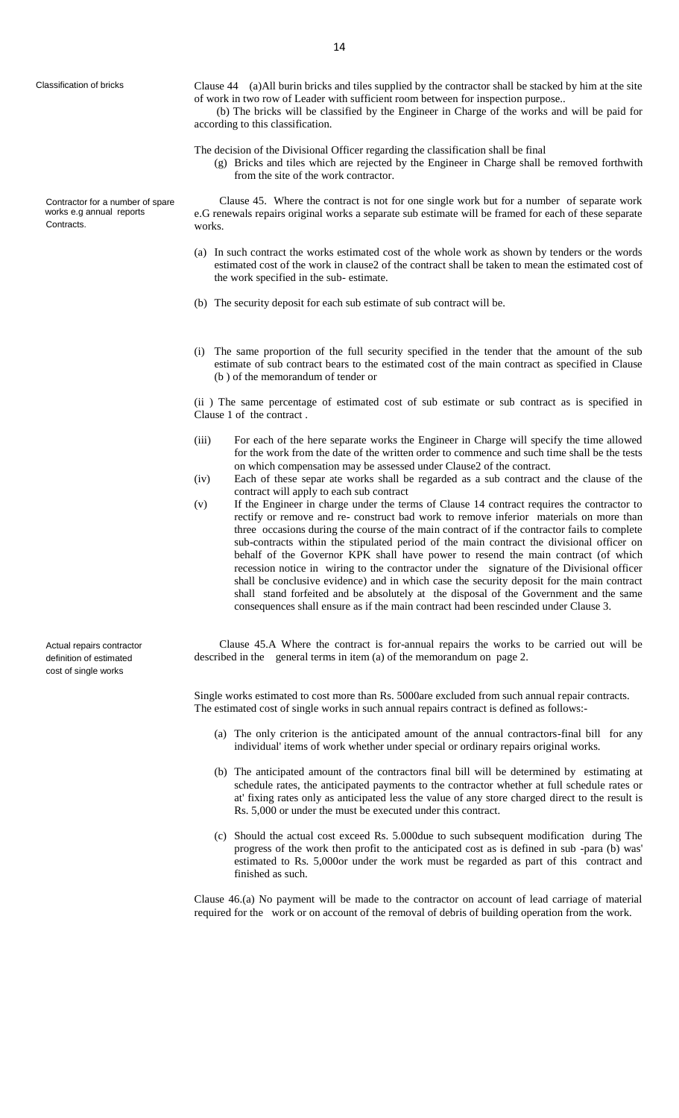Contractor for a number of spare works e.g annual reports Contracts.

Classification of bricks Clause 44 (a)All burin bricks and tiles supplied by the contractor shall be stacked by him at the site of work in two row of Leader with sufficient room between for inspection purpose.. (b) The bricks will be classified by the Engineer in Charge of the works and will be paid for

The decision of the Divisional Officer regarding the classification shall be final

(g) Bricks and tiles which are rejected by the Engineer in Charge shall be removed forthwith from the site of the work contractor.

 Clause 45. Where the contract is not for one single work but for a number of separate work e.G renewals repairs original works a separate sub estimate will be framed for each of these separate works.

- (a) In such contract the works estimated cost of the whole work as shown by tenders or the words estimated cost of the work in clause2 of the contract shall be taken to mean the estimated cost of the work specified in the sub- estimate.
- (b) The security deposit for each sub estimate of sub contract will be.
- (i) The same proportion of the full security specified in the tender that the amount of the sub estimate of sub contract bears to the estimated cost of the main contract as specified in Clause (b ) of the memorandum of tender or

(ii ) The same percentage of estimated cost of sub estimate or sub contract as is specified in Clause 1 of the contract .

- (iii) For each of the here separate works the Engineer in Charge will specify the time allowed for the work from the date of the written order to commence and such time shall be the tests on which compensation may be assessed under Clause2 of the contract.
- (iv) Each of these separ ate works shall be regarded as a sub contract and the clause of the contract will apply to each sub contract
- (v) If the Engineer in charge under the terms of Clause 14 contract requires the contractor to rectify or remove and re- construct bad work to remove inferior materials on more than three occasions during the course of the main contract of if the contractor fails to complete sub-contracts within the stipulated period of the main contract the divisional officer on behalf of the Governor KPK shall have power to resend the main contract (of which recession notice in wiring to the contractor under the signature of the Divisional officer shall be conclusive evidence) and in which case the security deposit for the main contract shall stand forfeited and be absolutely at the disposal of the Government and the same consequences shall ensure as if the main contract had been rescinded under Clause 3.

 Clause 45.A Where the contract is for-annual repairs the works to be carried out will be described in the general terms in item (a) of the memorandum on page 2.

Single works estimated to cost more than Rs. 5000are excluded from such annual repair contracts. The estimated cost of single works in such annual repairs contract is defined as follows:-

- (a) The only criterion is the anticipated amount of the annual contractors-final bill for any individual' items of work whether under special or ordinary repairs original works.
- (b) The anticipated amount of the contractors final bill will be determined by estimating at schedule rates, the anticipated payments to the contractor whether at full schedule rates or at' fixing rates only as anticipated less the value of any store charged direct to the result is Rs. 5,000 or under the must be executed under this contract.
- (c) Should the actual cost exceed Rs. 5.000due to such subsequent modification during The progress of the work then profit to the anticipated cost as is defined in sub -para (b) was' estimated to Rs. 5,000or under the work must be regarded as part of this contract and finished as such.

Clause 46.(a) No payment will be made to the contractor on account of lead carriage of material required for the work or on account of the removal of debris of building operation from the work.

Actual repairs contractor definition of estimated cost of single works

according to this classification.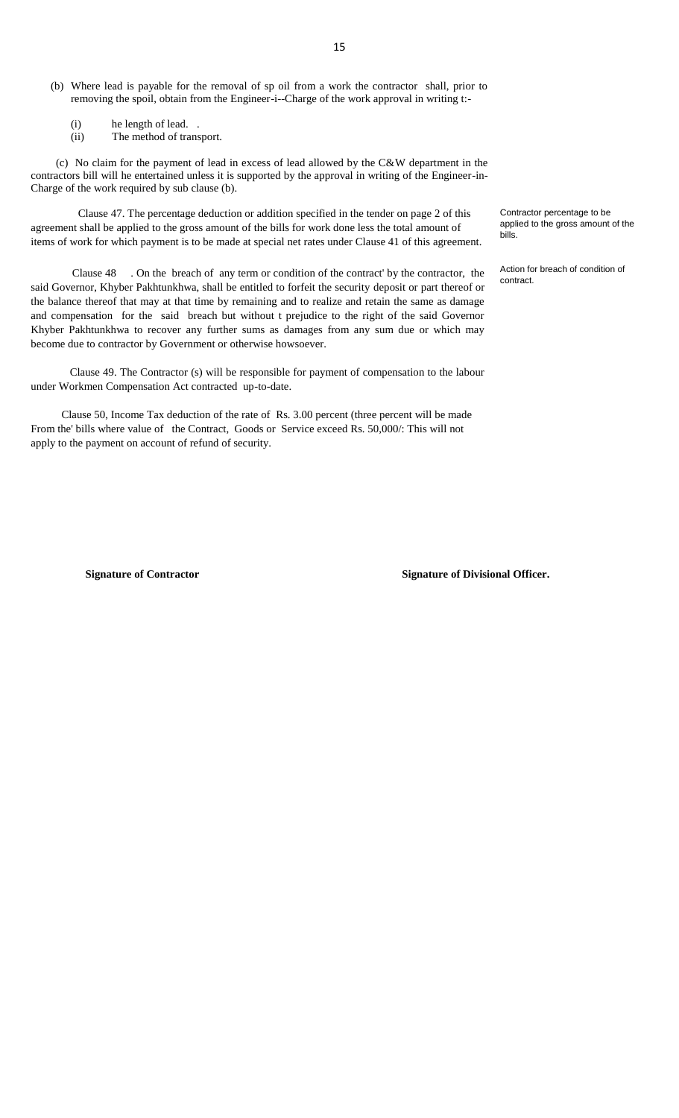- (b) Where lead is payable for the removal of sp oil from a work the contractor shall, prior to removing the spoil, obtain from the Engineer-i--Charge of the work approval in writing t:-
	- (i) he length of lead. .
	- (ii) The method of transport.

 (c) No claim for the payment of lead in excess of lead allowed by the C&W department in the contractors bill will he entertained unless it is supported by the approval in writing of the Engineer-in-Charge of the work required by sub clause (b).

 Clause 47. The percentage deduction or addition specified in the tender on page 2 of this agreement shall be applied to the gross amount of the bills for work done less the total amount of items of work for which payment is to be made at special net rates under Clause 41 of this agreement.

 Clause 48 . On the breach of any term or condition of the contract' by the contractor, the said Governor, Khyber Pakhtunkhwa, shall be entitled to forfeit the security deposit or part thereof or the balance thereof that may at that time by remaining and to realize and retain the same as damage and compensation for the said breach but without t prejudice to the right of the said Governor Khyber Pakhtunkhwa to recover any further sums as damages from any sum due or which may become due to contractor by Government or otherwise howsoever.

 Clause 49. The Contractor (s) will be responsible for payment of compensation to the labour under Workmen Compensation Act contracted up-to-date.

 Clause 50, Income Tax deduction of the rate of Rs. 3.00 percent (three percent will be made From the' bills where value of the Contract, Goods or Service exceed Rs. 50,000/: This will not apply to the payment on account of refund of security.

**Signature of Contractor Signature of Divisional Officer.** 

Contractor percentage to be applied to the gross amount of the bills.

Action for breach of condition of contract.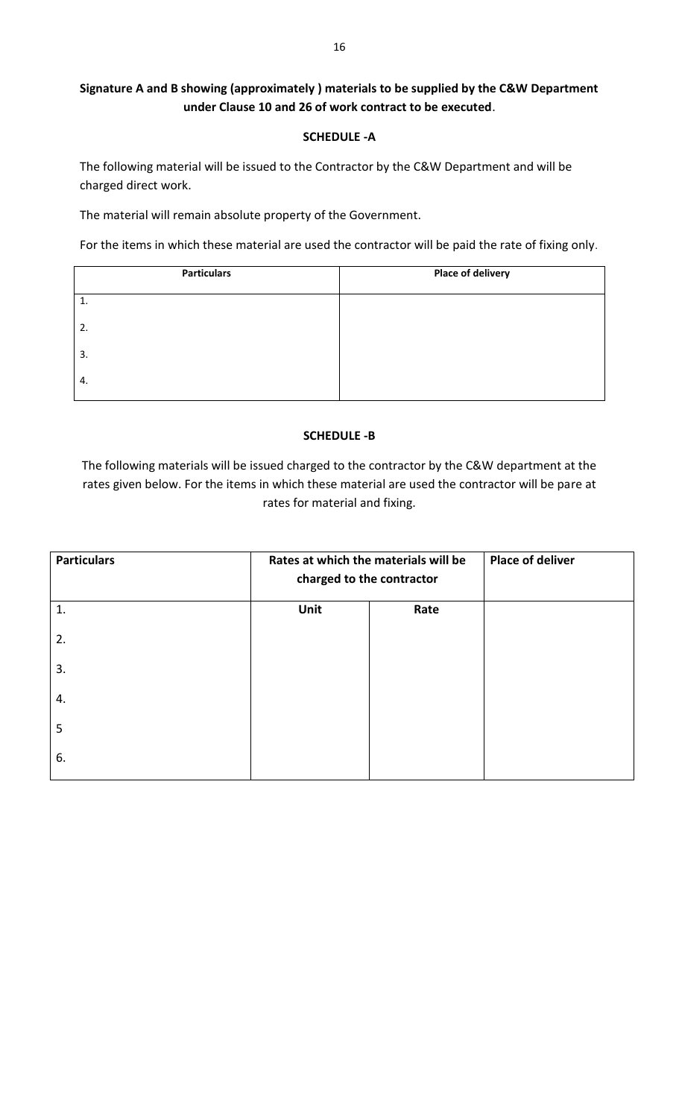# **Signature A and B showing (approximately ) materials to be supplied by the C&W Department under Clause 10 and 26 of work contract to be executed**.

## **SCHEDULE -A**

The following material will be issued to the Contractor by the C&W Department and will be charged direct work.

The material will remain absolute property of the Government.

For the items in which these material are used the contractor will be paid the rate of fixing only.

| <b>Particulars</b> | <b>Place of delivery</b> |
|--------------------|--------------------------|
| 1.                 |                          |
| 2.                 |                          |
| 3.                 |                          |
| 4.                 |                          |

## **SCHEDULE -B**

The following materials will be issued charged to the contractor by the C&W department at the rates given below. For the items in which these material are used the contractor will be pare at rates for material and fixing.

| <b>Particulars</b> | Rates at which the materials will be<br>charged to the contractor |      | <b>Place of deliver</b> |
|--------------------|-------------------------------------------------------------------|------|-------------------------|
| $\mathbf{1}$ .     | Unit                                                              | Rate |                         |
| 2.                 |                                                                   |      |                         |
| 3.                 |                                                                   |      |                         |
| 4.                 |                                                                   |      |                         |
| 5                  |                                                                   |      |                         |
| 6.                 |                                                                   |      |                         |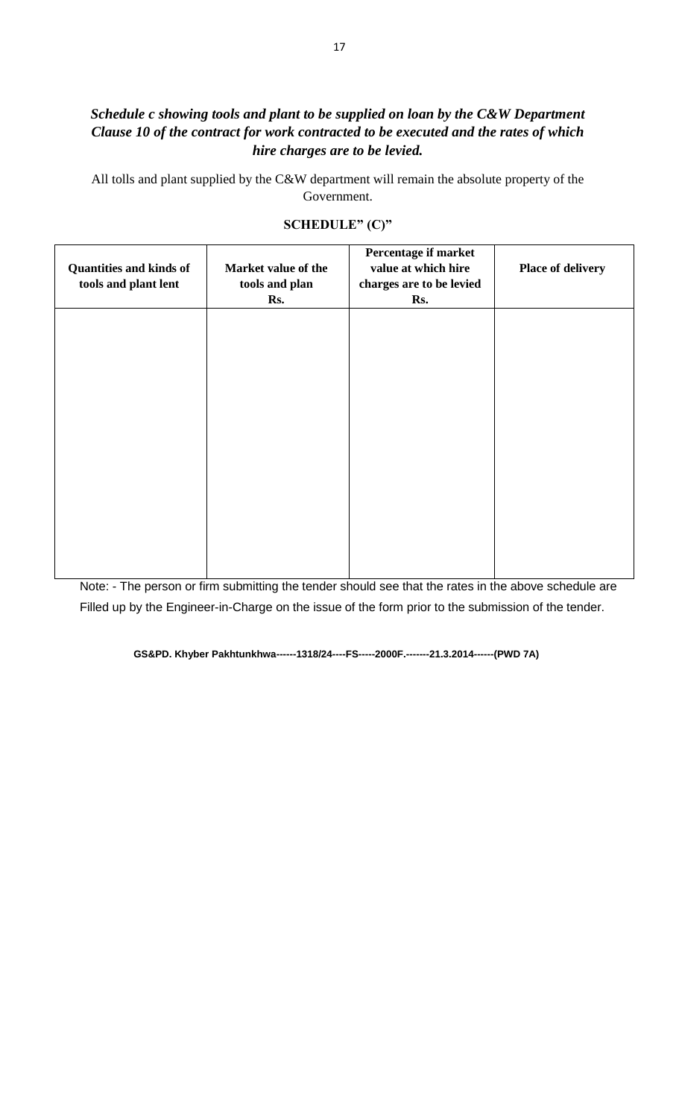# *Schedule c showing tools and plant to be supplied on loan by the C&W Department Clause 10 of the contract for work contracted to be executed and the rates of which hire charges are to be levied.*

All tolls and plant supplied by the C&W department will remain the absolute property of the Government.

| <b>Quantities and kinds of</b><br>tools and plant lent | Market value of the<br>tools and plan<br>Rs. | Percentage if market<br>value at which hire<br>charges are to be levied<br>Rs. | <b>Place of delivery</b> |
|--------------------------------------------------------|----------------------------------------------|--------------------------------------------------------------------------------|--------------------------|
|                                                        |                                              |                                                                                |                          |
|                                                        |                                              |                                                                                |                          |
|                                                        |                                              |                                                                                |                          |
|                                                        |                                              |                                                                                |                          |

## **SCHEDULE" (C)"**

Note: - The person or firm submitting the tender should see that the rates in the above schedule are Filled up by the Engineer-in-Charge on the issue of the form prior to the submission of the tender.

**GS&PD. Khyber Pakhtunkhwa------1318/24----FS-----2000F.-------21.3.2014------(PWD 7A)**